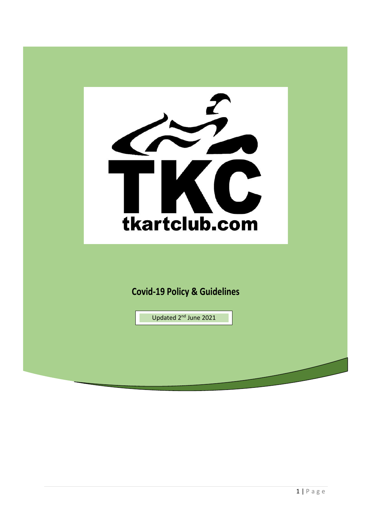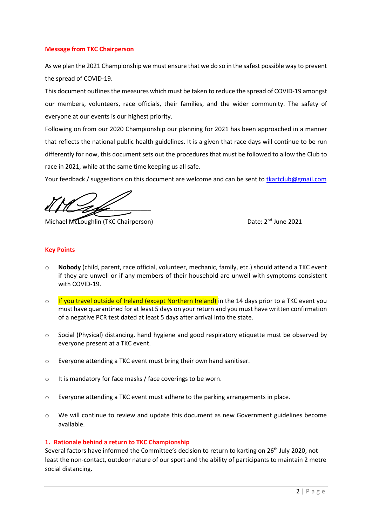### **Message from TKC Chairperson**

As we plan the 2021 Championship we must ensure that we do so in the safest possible way to prevent the spread of COVID-19.

This document outlines the measures which must be taken to reduce the spread of COVID-19 amongst our members, volunteers, race officials, their families, and the wider community. The safety of everyone at our events is our highest priority.

Following on from our 2020 Championship our planning for 2021 has been approached in a manner that reflects the national public health guidelines. It is a given that race days will continue to be run differently for now, this document sets out the procedures that must be followed to allow the Club to race in 2021, while at the same time keeping us all safe.

Your feedback / suggestions on this document are welcome and can be sent to theartclub@gmail.com

 $\frac{1}{2}$ 

Michael McLoughlin (TKC Chairperson)

Date: 2<sup>nd</sup> June 2021

# **Key Points**

- o **Nobody** (child, parent, race official, volunteer, mechanic, family, etc.) should attend a TKC event if they are unwell or if any members of their household are unwell with symptoms consistent with COVID-19.
- o If you travel outside of Ireland (except Northern Ireland) in the 14 days prior to a TKC event you must have quarantined for at least 5 days on your return and you must have written confirmation of a negative PCR test dated at least 5 days after arrival into the state.
- o Social (Physical) distancing, hand hygiene and good respiratory etiquette must be observed by everyone present at a TKC event.
- o Everyone attending a TKC event must bring their own hand sanitiser.
- o It is mandatory for face masks / face coverings to be worn.
- $\circ$  Everyone attending a TKC event must adhere to the parking arrangements in place.
- $\circ$  We will continue to review and update this document as new Government guidelines become available.

### **1. Rationale behind a return to TKC Championship**

Several factors have informed the Committee's decision to return to karting on 26<sup>th</sup> July 2020, not least the non-contact, outdoor nature of our sport and the ability of participants to maintain 2 metre social distancing.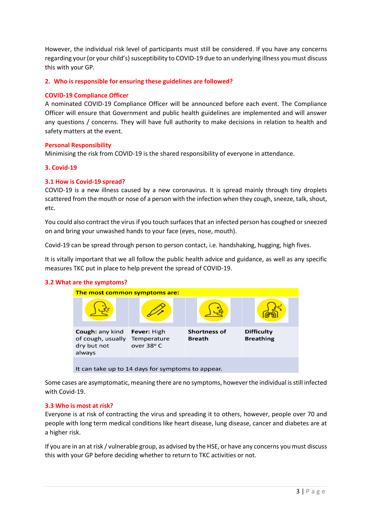However, the individual risk level of participants must still be considered. If you have any concerns regarding your (or your child's) susceptibility to COVID-19 due to an underlying illness you must discuss this with your GP.

### **2. Who is responsible for ensuring these guidelines are followed?**

### **COVID-19 Compliance Officer**

A nominated COVID-19 Compliance Officer will be announced before each event. The Compliance Officer will ensure that Government and public health guidelines are implemented and will answer any questions / concerns. They will have full authority to make decisions in relation to health and safety matters at the event.

### **Personal Responsibility**

Minimising the risk from COVID-19 is the shared responsibility of everyone in attendance.

#### **3. Covid-19**

### **3.1 How is Covid-19 spread?**

COVID-19 is a new illness caused by a new coronavirus. It is spread mainly through tiny droplets scattered from the mouth or nose of a person with the infection when they cough, sneeze, talk, shout, etc.

You could also contract the virus if you touch surfaces that an infected person has coughed or sneezed on and bring your unwashed hands to your face (eyes, nose, mouth).

Covid-19 can be spread through person to person contact, i.e. handshaking, hugging, high fives.

It is vitally important that we all follow the public health advice and guidance, as well as any specific measures TKC put in place to help prevent the spread of COVID-19.

### **3.2 What are the symptoms?**



It can take up to 14 days for symptoms to appear.

Some cases are asymptomatic, meaning there are no symptoms, howeverthe individual is still infected with Covid-19.

### **3.3 Who is most at risk?**

Everyone is at risk of contracting the virus and spreading it to others, however, people over 70 and people with long term medical conditions like heart disease, lung disease, cancer and diabetes are at a higher risk.

If you are in an at risk / vulnerable group, as advised by the HSE, or have any concerns you must discuss this with your GP before deciding whether to return to TKC activities or not.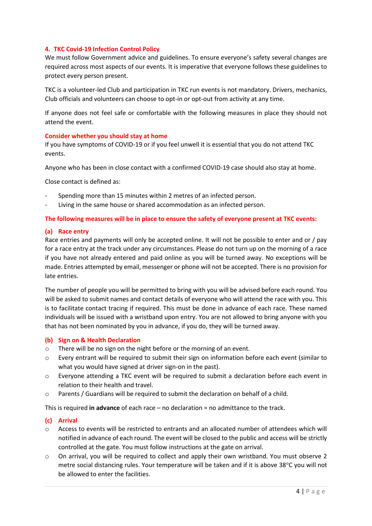# **4. TKC Covid-19 Infection Control Policy**

We must follow Government advice and guidelines. To ensure everyone's safety several changes are required across most aspects of our events. It is imperative that everyone follows these guidelines to protect every person present.

TKC is a volunteer-led Club and participation in TKC run events is not mandatory. Drivers, mechanics, Club officials and volunteers can choose to opt-in or opt-out from activity at any time.

If anyone does not feel safe or comfortable with the following measures in place they should not attend the event.

### **Consider whether you should stay at home**

If you have symptoms of COVID-19 or if you feel unwell it is essential that you do not attend TKC events.

Anyone who has been in close contact with a confirmed COVID-19 case should also stay at home.

Close contact is defined as:

- Spending more than 15 minutes within 2 metres of an infected person.
- Living in the same house or shared accommodation as an infected person.

#### **The following measures will be in place to ensure the safety of everyone present at TKC events:**

#### **(a) Race entry**

Race entries and payments will only be accepted online. It will not be possible to enter and or / pay for a race entry at the track under any circumstances. Please do not turn up on the morning of a race if you have not already entered and paid online as you will be turned away. No exceptions will be made. Entries attempted by email, messenger or phone will not be accepted. There is no provision for late entries.

The number of people you will be permitted to bring with you will be advised before each round. You will be asked to submit names and contact details of everyone who will attend the race with you. This is to facilitate contact tracing if required. This must be done in advance of each race. These named individuals will be issued with a wristband upon entry. You are not allowed to bring anyone with you that has not been nominated by you in advance, if you do, they will be turned away.

#### **(b) Sign on & Health Declaration**

- o There will be no sign on the night before or the morning of an event.
- o Every entrant will be required to submit their sign on information before each event (similar to what you would have signed at driver sign-on in the past).
- o Everyone attending a TKC event will be required to submit a declaration before each event in relation to their health and travel.
- o Parents / Guardians will be required to submit the declaration on behalf of a child.

This is required **in advance** of each race – no declaration = no admittance to the track.

#### **(c) Arrival**

- o Access to events will be restricted to entrants and an allocated number of attendees which will notified in advance of each round. The event will be closed to the public and access will be strictly controlled at the gate. You must follow instructions at the gate on arrival.
- o On arrival, you will be required to collect and apply their own wristband. You must observe 2 metre social distancing rules. Your temperature will be taken and if it is above 38°C you will not be allowed to enter the facilities.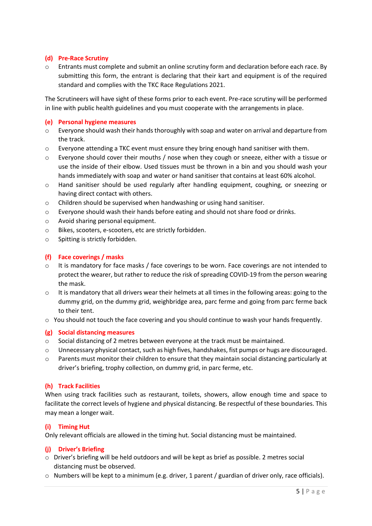### **(d) Pre-Race Scrutiny**

o Entrants must complete and submit an online scrutiny form and declaration before each race. By submitting this form, the entrant is declaring that their kart and equipment is of the required standard and complies with the TKC Race Regulations 2021.

The Scrutineers will have sight of these forms prior to each event. Pre-race scrutiny will be performed in line with public health guidelines and you must cooperate with the arrangements in place.

### **(e) Personal hygiene measures**

- o Everyone should wash their hands thoroughly with soap and water on arrival and departure from the track.
- $\circ$  Everyone attending a TKC event must ensure they bring enough hand sanitiser with them.
- $\circ$  Everyone should cover their mouths / nose when they cough or sneeze, either with a tissue or use the inside of their elbow. Used tissues must be thrown in a bin and you should wash your hands immediately with soap and water or hand sanitiser that contains at least 60% alcohol.
- o Hand sanitiser should be used regularly after handling equipment, coughing, or sneezing or having direct contact with others.
- $\circ$  Children should be supervised when handwashing or using hand sanitiser.
- o Everyone should wash their hands before eating and should not share food or drinks.
- o Avoid sharing personal equipment.
- o Bikes, scooters, e-scooters, etc are strictly forbidden.
- o Spitting is strictly forbidden.

# **(f) Face coverings / masks**

- $\circ$  It is mandatory for face masks / face coverings to be worn. Face coverings are not intended to protect the wearer, but rather to reduce the risk of spreading COVID-19 from the person wearing the mask.
- o It is mandatory that all drivers wear their helmets at all times in the following areas: going to the dummy grid, on the dummy grid, weighbridge area, parc ferme and going from parc ferme back to their tent.
- o You should not touch the face covering and you should continue to wash your hands frequently.

### **(g) Social distancing measures**

- o Social distancing of 2 metres between everyone at the track must be maintained.
- o Unnecessary physical contact, such as high fives, handshakes, fist pumps or hugs are discouraged.
- $\circ$  Parents must monitor their children to ensure that they maintain social distancing particularly at driver's briefing, trophy collection, on dummy grid, in parc ferme, etc.

### **(h) Track Facilities**

When using track facilities such as restaurant, toilets, showers, allow enough time and space to facilitate the correct levels of hygiene and physical distancing. Be respectful of these boundaries. This may mean a longer wait.

### **(i) Timing Hut**

Only relevant officials are allowed in the timing hut. Social distancing must be maintained.

### **(j) Driver's Briefing**

- o Driver's briefing will be held outdoors and will be kept as brief as possible. 2 metres social distancing must be observed.
- o Numbers will be kept to a minimum (e.g. driver, 1 parent / guardian of driver only, race officials).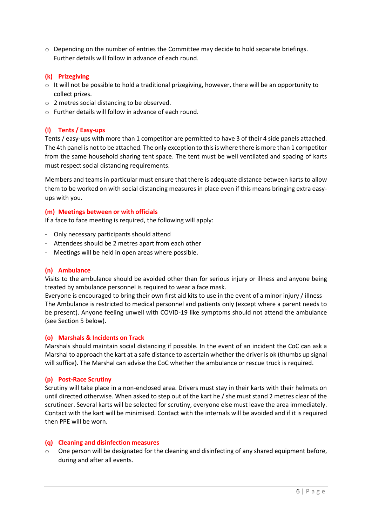o Depending on the number of entries the Committee may decide to hold separate briefings. Further details will follow in advance of each round.

### **(k) Prizegiving**

- $\circ$  It will not be possible to hold a traditional prizegiving, however, there will be an opportunity to collect prizes.
- o 2 metres social distancing to be observed.
- o Further details will follow in advance of each round.

# **(l) Tents / Easy-ups**

Tents / easy-ups with more than 1 competitor are permitted to have 3 of their 4 side panels attached. The 4th panel is not to be attached. The only exception to this is where there is more than 1 competitor from the same household sharing tent space. The tent must be well ventilated and spacing of karts must respect social distancing requirements.

Members and teams in particular must ensure that there is adequate distance between karts to allow them to be worked on with social distancing measures in place even if this means bringing extra easyups with you.

### **(m) Meetings between or with officials**

If a face to face meeting is required, the following will apply:

- Only necessary participants should attend
- Attendees should be 2 metres apart from each other
- Meetings will be held in open areas where possible.

### **(n) Ambulance**

Visits to the ambulance should be avoided other than for serious injury or illness and anyone being treated by ambulance personnel is required to wear a face mask.

Everyone is encouraged to bring their own first aid kits to use in the event of a minor injury / illness The Ambulance is restricted to medical personnel and patients only (except where a parent needs to be present). Anyone feeling unwell with COVID-19 like symptoms should not attend the ambulance (see Section 5 below).

### **(o) Marshals & Incidents on Track**

Marshals should maintain social distancing if possible. In the event of an incident the CoC can ask a Marshal to approach the kart at a safe distance to ascertain whether the driver is ok (thumbs up signal will suffice). The Marshal can advise the CoC whether the ambulance or rescue truck is required.

### **(p) Post-Race Scrutiny**

Scrutiny will take place in a non-enclosed area. Drivers must stay in their karts with their helmets on until directed otherwise. When asked to step out of the kart he / she must stand 2 metres clear of the scrutineer. Several karts will be selected for scrutiny, everyone else must leave the area immediately. Contact with the kart will be minimised. Contact with the internals will be avoided and if it is required then PPE will be worn.

### **(q) Cleaning and disinfection measures**

o One person will be designated for the cleaning and disinfecting of any shared equipment before, during and after all events.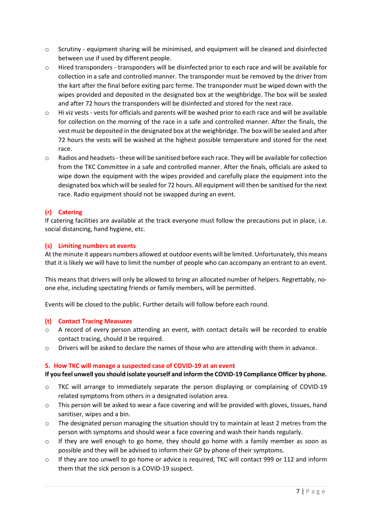- o Scrutiny equipment sharing will be minimised, and equipment will be cleaned and disinfected between use if used by different people.
- o Hired transponders transponders will be disinfected prior to each race and will be available for collection in a safe and controlled manner. The transponder must be removed by the driver from the kart after the final before exiting parc ferme. The transponder must be wiped down with the wipes provided and deposited in the designated box at the weighbridge. The box will be sealed and after 72 hours the transponders will be disinfected and stored for the next race.
- o Hi viz vests vests for officials and parents will be washed prior to each race and will be available for collection on the morning of the race in a safe and controlled manner. After the finals, the vest must be deposited in the designated box at the weighbridge. The box will be sealed and after 72 hours the vests will be washed at the highest possible temperature and stored for the next race.
- o Radios and headsets- these will be sanitised before each race. They will be available for collection from the TKC Committee in a safe and controlled manner. After the finals, officials are asked to wipe down the equipment with the wipes provided and carefully place the equipment into the designated box which will be sealed for 72 hours. All equipment will then be sanitised for the next race. Radio equipment should not be swapped during an event.

# **(r) Catering**

If catering facilities are available at the track everyone must follow the precautions put in place, i.e. social distancing, hand hygiene, etc.

### **(s) Limiting numbers at events**

At the minute it appears numbers allowed at outdoor events will be limited. Unfortunately, this means that it is likely we will have to limit the number of people who can accompany an entrant to an event.

This means that drivers will only be allowed to bring an allocated number of helpers. Regrettably, noone else, including spectating friends or family members, will be permitted.

Events will be closed to the public. Further details will follow before each round.

### **(t) Contact Tracing Measures**

- o A record of every person attending an event, with contact details will be recorded to enable contact tracing, should it be required.
- o Drivers will be asked to declare the names of those who are attending with them in advance.

### **5. How TKC will manage a suspected case of COVID-19 at an event**

### **If you feel unwell you should isolate yourself and inform the COVID-19 Compliance Officer by phone.**

- $\circ$  TKC will arrange to immediately separate the person displaying or complaining of COVID-19 related symptoms from others in a designated isolation area.
- o This person will be asked to wear a face covering and will be provided with gloves, tissues, hand sanitiser, wipes and a bin.
- $\circ$  The designated person managing the situation should try to maintain at least 2 metres from the person with symptoms and should wear a face covering and wash their hands regularly.
- $\circ$  If they are well enough to go home, they should go home with a family member as soon as possible and they will be advised to inform their GP by phone of their symptoms.
- o If they are too unwell to go home or advice is required, TKC will contact 999 or 112 and inform them that the sick person is a COVID-19 suspect.